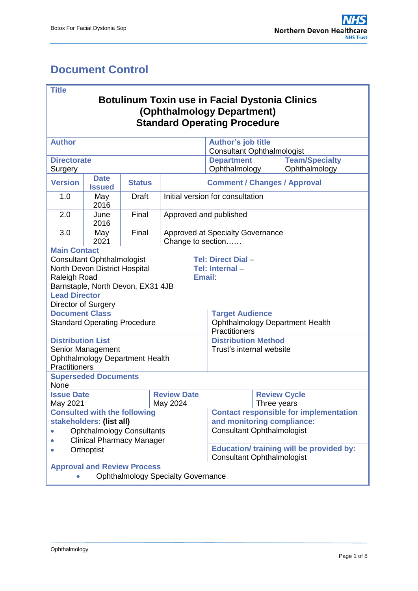# <span id="page-0-0"></span>**Document Control**

### **Title**

## **Botulinum Toxin use in Facial Dystonia Clinics (Ophthalmology Department) Standard Operating Procedure**

| <b>Author</b>                                                                                                           |                              |               |                                                              |        | <b>Author's job title</b><br><b>Consultant Ophthalmologist</b> |                     |                       |  |  |
|-------------------------------------------------------------------------------------------------------------------------|------------------------------|---------------|--------------------------------------------------------------|--------|----------------------------------------------------------------|---------------------|-----------------------|--|--|
| <b>Directorate</b>                                                                                                      |                              |               |                                                              |        | <b>Department</b>                                              |                     | <b>Team/Specialty</b> |  |  |
| Surgery                                                                                                                 |                              |               |                                                              |        | Ophthalmology                                                  |                     | Ophthalmology         |  |  |
| <b>Version</b>                                                                                                          | <b>Date</b><br><b>Issued</b> | <b>Status</b> | <b>Comment / Changes / Approval</b>                          |        |                                                                |                     |                       |  |  |
| 1.0                                                                                                                     | May<br>2016                  | <b>Draft</b>  | Initial version for consultation                             |        |                                                                |                     |                       |  |  |
| 2.0                                                                                                                     | June<br>2016                 | Final         | Approved and published                                       |        |                                                                |                     |                       |  |  |
| 3.0                                                                                                                     | May<br>2021                  | Final         | <b>Approved at Specialty Governance</b><br>Change to section |        |                                                                |                     |                       |  |  |
| <b>Main Contact</b>                                                                                                     |                              |               |                                                              |        |                                                                |                     |                       |  |  |
| <b>Consultant Ophthalmologist</b><br>North Devon District Hospital<br>Raleigh Road<br>Barnstaple, North Devon, EX31 4JB |                              |               |                                                              | Email: | Tel: Direct Dial -<br>Tel: Internal-                           |                     |                       |  |  |
| <b>Lead Director</b>                                                                                                    |                              |               |                                                              |        |                                                                |                     |                       |  |  |
| Director of Surgery                                                                                                     |                              |               |                                                              |        |                                                                |                     |                       |  |  |
| <b>Document Class</b>                                                                                                   |                              |               |                                                              |        | <b>Target Audience</b>                                         |                     |                       |  |  |
| <b>Standard Operating Procedure</b>                                                                                     |                              |               |                                                              |        | <b>Ophthalmology Department Health</b><br>Practitioners        |                     |                       |  |  |
| <b>Distribution List</b>                                                                                                |                              |               |                                                              |        | <b>Distribution Method</b>                                     |                     |                       |  |  |
| Senior Management                                                                                                       |                              |               |                                                              |        | Trust's internal website                                       |                     |                       |  |  |
| <b>Ophthalmology Department Health</b>                                                                                  |                              |               |                                                              |        |                                                                |                     |                       |  |  |
| Practitioners                                                                                                           |                              |               |                                                              |        |                                                                |                     |                       |  |  |
| <b>Superseded Documents</b><br>None                                                                                     |                              |               |                                                              |        |                                                                |                     |                       |  |  |
| <b>Issue Date</b>                                                                                                       |                              |               | <b>Review Date</b>                                           |        |                                                                | <b>Review Cycle</b> |                       |  |  |
| May 2021                                                                                                                |                              |               | May 2024                                                     |        |                                                                | Three years         |                       |  |  |
| <b>Consulted with the following</b>                                                                                     |                              |               |                                                              |        | <b>Contact responsible for implementation</b>                  |                     |                       |  |  |
| stakeholders: (list all)                                                                                                |                              |               |                                                              |        | and monitoring compliance:                                     |                     |                       |  |  |
| <b>Ophthalmology Consultants</b>                                                                                        |                              |               |                                                              |        | <b>Consultant Ophthalmologist</b>                              |                     |                       |  |  |
| <b>Clinical Pharmacy Manager</b><br>Orthoptist                                                                          |                              |               |                                                              |        | <b>Education/ training will be provided by:</b>                |                     |                       |  |  |
|                                                                                                                         |                              |               |                                                              |        | <b>Consultant Ophthalmologist</b>                              |                     |                       |  |  |
| <b>Approval and Review Process</b>                                                                                      |                              |               |                                                              |        |                                                                |                     |                       |  |  |
| <b>Ophthalmology Specialty Governance</b>                                                                               |                              |               |                                                              |        |                                                                |                     |                       |  |  |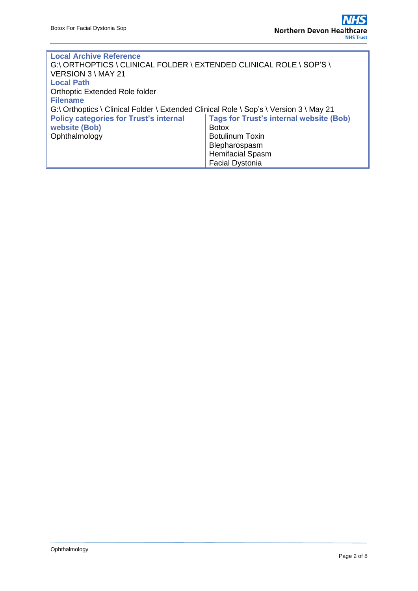| <b>Local Archive Reference</b>                                                         |                                                |  |  |  |  |  |  |  |
|----------------------------------------------------------------------------------------|------------------------------------------------|--|--|--|--|--|--|--|
| G:\ ORTHOPTICS \ CLINICAL FOLDER \ EXTENDED CLINICAL ROLE \ SOP'S \                    |                                                |  |  |  |  |  |  |  |
| VERSION 3 \ MAY 21                                                                     |                                                |  |  |  |  |  |  |  |
| <b>Local Path</b>                                                                      |                                                |  |  |  |  |  |  |  |
| Orthoptic Extended Role folder                                                         |                                                |  |  |  |  |  |  |  |
| <b>Filename</b>                                                                        |                                                |  |  |  |  |  |  |  |
| G:\ Orthoptics \ Clinical Folder \ Extended Clinical Role \ Sop's \ Version 3 \ May 21 |                                                |  |  |  |  |  |  |  |
| <b>Policy categories for Trust's internal</b>                                          | <b>Tags for Trust's internal website (Bob)</b> |  |  |  |  |  |  |  |
| website (Bob)                                                                          | <b>Botox</b>                                   |  |  |  |  |  |  |  |
| Ophthalmology                                                                          | <b>Botulinum Toxin</b>                         |  |  |  |  |  |  |  |
|                                                                                        | Blepharospasm                                  |  |  |  |  |  |  |  |
|                                                                                        | <b>Hemifacial Spasm</b>                        |  |  |  |  |  |  |  |
|                                                                                        | <b>Facial Dystonia</b>                         |  |  |  |  |  |  |  |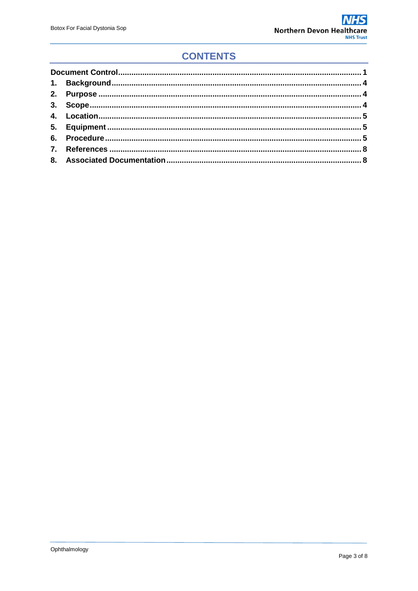# **CONTENTS**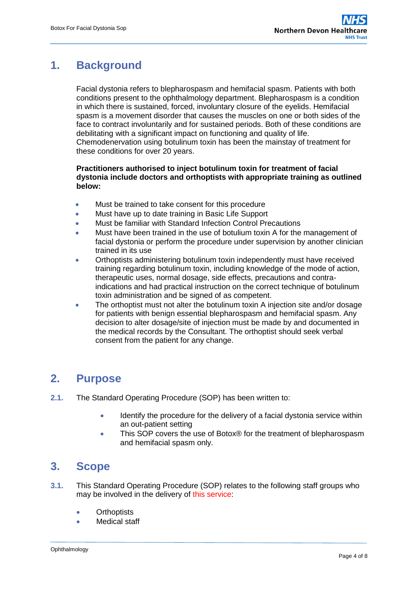# <span id="page-3-0"></span>**1. Background**

Facial dystonia refers to blepharospasm and hemifacial spasm. Patients with both conditions present to the ophthalmology department. Blepharospasm is a condition in which there is sustained, forced, involuntary closure of the eyelids. Hemifacial spasm is a movement disorder that causes the muscles on one or both sides of the face to contract involuntarily and for sustained periods. Both of these conditions are debilitating with a significant impact on functioning and quality of life. Chemodenervation using botulinum toxin has been the mainstay of treatment for these conditions for over 20 years.

### **Practitioners authorised to inject botulinum toxin for treatment of facial dystonia include doctors and orthoptists with appropriate training as outlined below:**

- Must be trained to take consent for this procedure
- Must have up to date training in Basic Life Support
- Must be familiar with Standard Infection Control Precautions
- Must have been trained in the use of botulium toxin A for the management of facial dystonia or perform the procedure under supervision by another clinician trained in its use
- Orthoptists administering botulinum toxin independently must have received training regarding botulinum toxin, including knowledge of the mode of action, therapeutic uses, normal dosage, side effects, precautions and contraindications and had practical instruction on the correct technique of botulinum toxin administration and be signed of as competent.
- The orthoptist must not alter the botulinum toxin A injection site and/or dosage for patients with benign essential blepharospasm and hemifacial spasm. Any decision to alter dosage/site of injection must be made by and documented in the medical records by the Consultant. The orthoptist should seek verbal consent from the patient for any change.

## <span id="page-3-1"></span>**2. Purpose**

- **2.1.** The Standard Operating Procedure (SOP) has been written to:
	- Identify the procedure for the delivery of a facial dystonia service within an out-patient setting
	- This SOP covers the use of Botox® for the treatment of blepharospasm and hemifacial spasm only.

## <span id="page-3-2"></span>**3. Scope**

- **3.1.** This Standard Operating Procedure (SOP) relates to the following staff groups who may be involved in the delivery of this service:
	- **Orthoptists**
	- Medical staff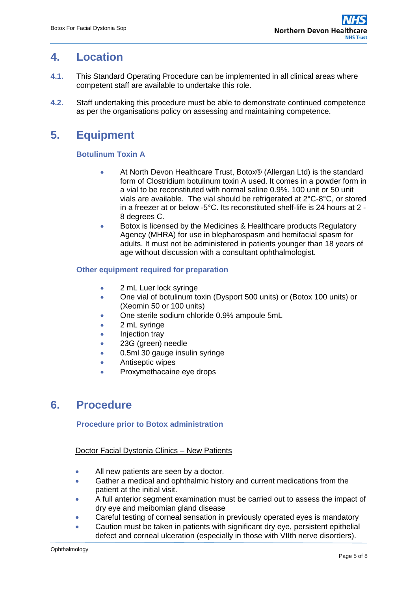## <span id="page-4-0"></span>**4. Location**

- **4.1.** This Standard Operating Procedure can be implemented in all clinical areas where competent staff are available to undertake this role.
- **4.2.** Staff undertaking this procedure must be able to demonstrate continued competence as per the organisations policy on assessing and maintaining competence.

# <span id="page-4-1"></span>**5. Equipment**

## **Botulinum Toxin A**

- At North Devon Healthcare Trust, Botox® (Allergan Ltd) is the standard form of Clostridium botulinum toxin A used. It comes in a powder form in a vial to be reconstituted with normal saline 0.9%. 100 unit or 50 unit vials are available. The vial should be refrigerated at 2°C-8°C, or stored in a freezer at or below -5°C. Its reconstituted shelf-life is 24 hours at 2 - 8 degrees C.
- Botox is licensed by the Medicines & Healthcare products Regulatory Agency (MHRA) for use in blepharospasm and hemifacial spasm for adults. It must not be administered in patients younger than 18 years of age without discussion with a consultant ophthalmologist.

### **Other equipment required for preparation**

- 2 mL Luer lock syringe
- One vial of botulinum toxin (Dysport 500 units) or (Botox 100 units) or (Xeomin 50 or 100 units)
- One sterile sodium chloride 0.9% ampoule 5mL
- 2 mL syringe
- Injection tray
- 23G (green) needle
- 0.5ml 30 gauge insulin syringe
- **•** Antiseptic wipes
- Proxymethacaine eye drops

## <span id="page-4-2"></span>**6. Procedure**

## **Procedure prior to Botox administration**

### Doctor Facial Dystonia Clinics – New Patients

- All new patients are seen by a doctor.
- Gather a medical and ophthalmic history and current medications from the patient at the initial visit.
- A full anterior segment examination must be carried out to assess the impact of dry eye and meibomian gland disease
- Careful testing of corneal sensation in previously operated eyes is mandatory
- Caution must be taken in patients with significant dry eye, persistent epithelial defect and corneal ulceration (especially in those with VIIth nerve disorders).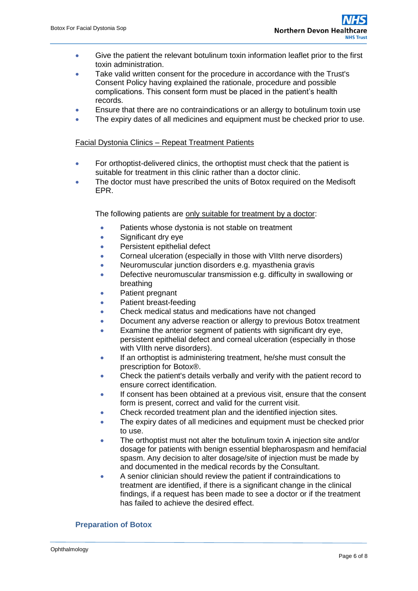- Give the patient the relevant botulinum toxin information leaflet prior to the first toxin administration.
- Take valid written consent for the procedure in accordance with the Trust's Consent Policy having explained the rationale, procedure and possible complications. This consent form must be placed in the patient's health records.
- Ensure that there are no contraindications or an allergy to botulinum toxin use
- The expiry dates of all medicines and equipment must be checked prior to use.

### Facial Dystonia Clinics – Repeat Treatment Patients

- For orthoptist-delivered clinics, the orthoptist must check that the patient is suitable for treatment in this clinic rather than a doctor clinic.
- The doctor must have prescribed the units of Botox required on the Medisoft EPR.

The following patients are only suitable for treatment by a doctor:

- Patients whose dystonia is not stable on treatment
- Significant dry eye
- Persistent epithelial defect
- Corneal ulceration (especially in those with VIIth nerve disorders)
- Neuromuscular junction disorders e.g. myasthenia gravis
- **•** Defective neuromuscular transmission e.g. difficulty in swallowing or breathing
- Patient pregnant
- Patient breast-feeding
- Check medical status and medications have not changed
- Document any adverse reaction or allergy to previous Botox treatment
- Examine the anterior segment of patients with significant dry eye, persistent epithelial defect and corneal ulceration (especially in those with VIIth nerve disorders).
- If an orthoptist is administering treatment, he/she must consult the prescription for Botox®.
- Check the patient's details verbally and verify with the patient record to ensure correct identification.
- If consent has been obtained at a previous visit, ensure that the consent form is present, correct and valid for the current visit.
- Check recorded treatment plan and the identified injection sites.
- The expiry dates of all medicines and equipment must be checked prior to use.
- The orthoptist must not alter the botulinum toxin A injection site and/or dosage for patients with benign essential blepharospasm and hemifacial spasm. Any decision to alter dosage/site of injection must be made by and documented in the medical records by the Consultant.
- A senior clinician should review the patient if contraindications to treatment are identified, if there is a significant change in the clinical findings, if a request has been made to see a doctor or if the treatment has failed to achieve the desired effect.

### **Preparation of Botox**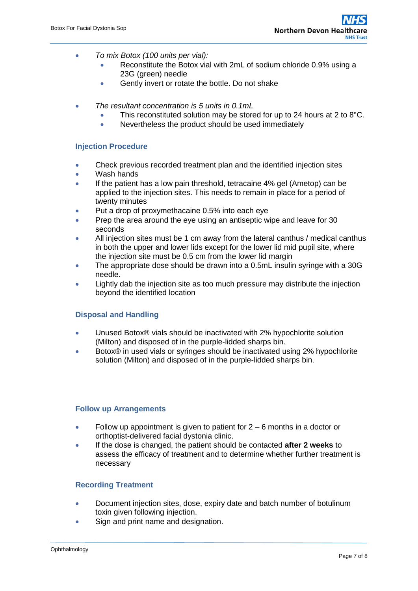- *To mix Botox (100 units per vial):* 
	- Reconstitute the Botox vial with 2mL of sodium chloride 0.9% using a 23G (green) needle
	- Gently invert or rotate the bottle. Do not shake
- *The resultant concentration is 5 units in 0.1mL* 
	- $\bullet$  This reconstituted solution may be stored for up to 24 hours at 2 to 8°C.
	- Nevertheless the product should be used immediately

### **Injection Procedure**

- Check previous recorded treatment plan and the identified injection sites
- Wash hands
- If the patient has a low pain threshold, tetracaine 4% gel (Ametop) can be applied to the injection sites. This needs to remain in place for a period of twenty minutes
- Put a drop of proxymethacaine 0.5% into each eye
- Prep the area around the eye using an antiseptic wipe and leave for 30 seconds
- All injection sites must be 1 cm away from the lateral canthus / medical canthus in both the upper and lower lids except for the lower lid mid pupil site, where the injection site must be 0.5 cm from the lower lid margin
- The appropriate dose should be drawn into a 0.5mL insulin syringe with a 30G needle.
- Lightly dab the injection site as too much pressure may distribute the injection beyond the identified location

#### **Disposal and Handling**

- Unused Botox® vials should be inactivated with 2% hypochlorite solution (Milton) and disposed of in the purple-lidded sharps bin.
- Botox® in used vials or syringes should be inactivated using 2% hypochlorite solution (Milton) and disposed of in the purple-lidded sharps bin.

#### **Follow up Arrangements**

- Follow up appointment is given to patient for  $2 6$  months in a doctor or orthoptist-delivered facial dystonia clinic.
- If the dose is changed, the patient should be contacted **after 2 weeks** to assess the efficacy of treatment and to determine whether further treatment is necessary

#### **Recording Treatment**

- Document injection sites, dose, expiry date and batch number of botulinum toxin given following injection.
- Sign and print name and designation.